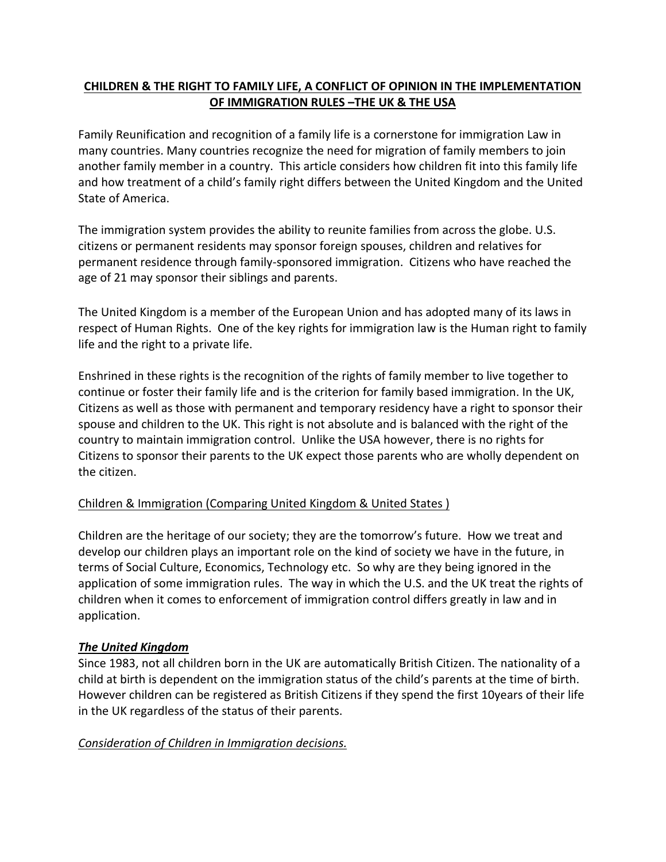# **CHILDREN & THE RIGHT TO FAMILY LIFE, A CONFLICT OF OPINION IN THE IMPLEMENTATION OF IMMIGRATION RULES –THE UK & THE USA**

Family Reunification and recognition of a family life is a cornerstone for immigration Law in many countries. Many countries recognize the need for migration of family members to join another family member in a country. This article considers how children fit into this family life and how treatment of a child's family right differs between the United Kingdom and the United State of America.

The immigration system provides the ability to reunite families from across the globe. U.S. citizens or permanent residents may sponsor foreign spouses, children and relatives for permanent residence through family-sponsored immigration. Citizens who have reached the age of 21 may sponsor their siblings and parents.

The United Kingdom is a member of the European Union and has adopted many of its laws in respect of Human Rights. One of the key rights for immigration law is the Human right to family life and the right to a private life.

Enshrined in these rights is the recognition of the rights of family member to live together to continue or foster their family life and is the criterion for family based immigration. In the UK, Citizens as well as those with permanent and temporary residency have a right to sponsor their spouse and children to the UK. This right is not absolute and is balanced with the right of the country to maintain immigration control. Unlike the USA however, there is no rights for Citizens to sponsor their parents to the UK expect those parents who are wholly dependent on the citizen.

# Children & Immigration (Comparing United Kingdom & United States )

Children are the heritage of our society; they are the tomorrow's future. How we treat and develop our children plays an important role on the kind of society we have in the future, in terms of Social Culture, Economics, Technology etc. So why are they being ignored in the application of some immigration rules. The way in which the U.S. and the UK treat the rights of children when it comes to enforcement of immigration control differs greatly in law and in application.

## *The United Kingdom*

Since 1983, not all children born in the UK are automatically British Citizen. The nationality of a child at birth is dependent on the immigration status of the child's parents at the time of birth. However children can be registered as British Citizens if they spend the first 10years of their life in the UK regardless of the status of their parents.

## *Consideration of Children in Immigration decisions.*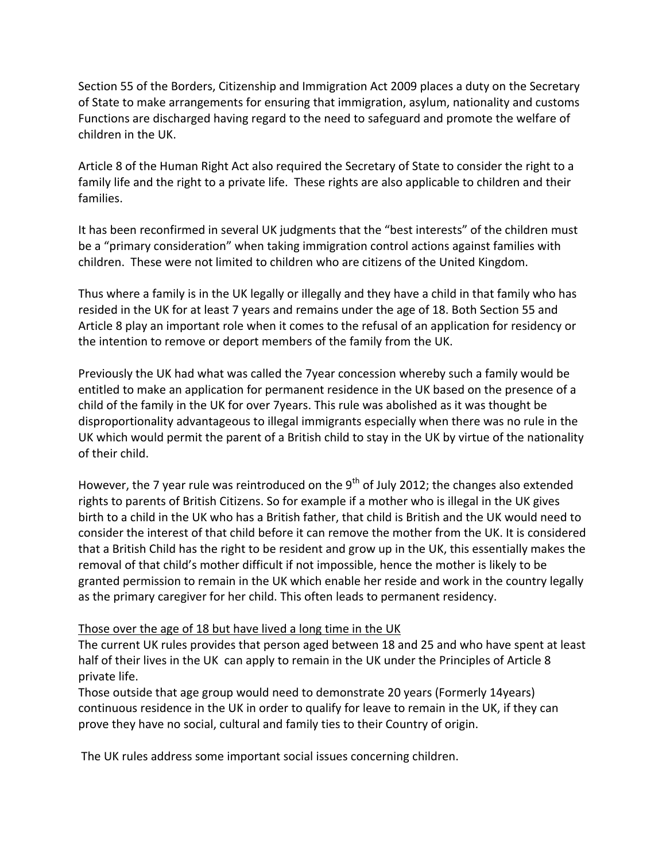Section 55 of the Borders, Citizenship and Immigration Act 2009 places a duty on the Secretary of State to make arrangements for ensuring that immigration, asylum, nationality and customs Functions are discharged having regard to the need to safeguard and promote the welfare of children in the UK.

Article 8 of the Human Right Act also required the Secretary of State to consider the right to a family life and the right to a private life. These rights are also applicable to children and their families.

It has been reconfirmed in several UK judgments that the "best interests" of the children must be a "primary consideration" when taking immigration control actions against families with children. These were not limited to children who are citizens of the United Kingdom.

Thus where a family is in the UK legally or illegally and they have a child in that family who has resided in the UK for at least 7 years and remains under the age of 18. Both Section 55 and Article 8 play an important role when it comes to the refusal of an application for residency or the intention to remove or deport members of the family from the UK.

Previously the UK had what was called the 7year concession whereby such a family would be entitled to make an application for permanent residence in the UK based on the presence of a child of the family in the UK for over 7years. This rule was abolished as it was thought be disproportionality advantageous to illegal immigrants especially when there was no rule in the UK which would permit the parent of a British child to stay in the UK by virtue of the nationality of their child.

However, the 7 year rule was reintroduced on the  $9<sup>th</sup>$  of July 2012; the changes also extended rights to parents of British Citizens. So for example if a mother who is illegal in the UK gives birth to a child in the UK who has a British father, that child is British and the UK would need to consider the interest of that child before it can remove the mother from the UK. It is considered that a British Child has the right to be resident and grow up in the UK, this essentially makes the removal of that child's mother difficult if not impossible, hence the mother is likely to be granted permission to remain in the UK which enable her reside and work in the country legally as the primary caregiver for her child. This often leads to permanent residency.

## Those over the age of 18 but have lived a long time in the UK

The current UK rules provides that person aged between 18 and 25 and who have spent at least half of their lives in the UK can apply to remain in the UK under the Principles of Article 8 private life.

Those outside that age group would need to demonstrate 20 years (Formerly 14years) continuous residence in the UK in order to qualify for leave to remain in the UK, if they can prove they have no social, cultural and family ties to their Country of origin.

The UK rules address some important social issues concerning children.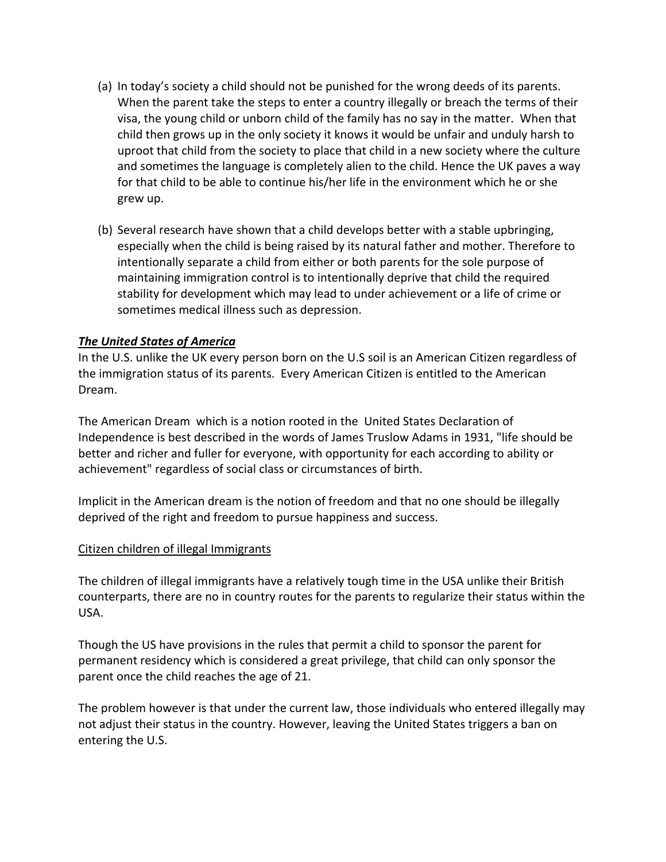- (a) In today's society a child should not be punished for the wrong deeds of its parents. When the parent take the steps to enter a country illegally or breach the terms of their visa, the young child or unborn child of the family has no say in the matter. When that child then grows up in the only society it knows it would be unfair and unduly harsh to uproot that child from the society to place that child in a new society where the culture and sometimes the language is completely alien to the child. Hence the UK paves a way for that child to be able to continue his/her life in the environment which he or she grew up.
- (b) Several research have shown that a child develops better with a stable upbringing, especially when the child is being raised by its natural father and mother. Therefore to intentionally separate a child from either or both parents for the sole purpose of maintaining immigration control is to intentionally deprive that child the required stability for development which may lead to under achievement or a life of crime or sometimes medical illness such as depression.

### *The United States of America*

In the U.S. unlike the UK every person born on the U.S soil is an American Citizen regardless of the immigration status of its parents. Every American Citizen is entitled to the American Dream.

The American Dream which is a notion rooted in the United States Declaration of Independence is best described in the words of James Truslow Adams in 1931, "life should be better and richer and fuller for everyone, with opportunity for each according to ability or achievement" regardless of social class or circumstances of birth.

Implicit in the American dream is the notion of freedom and that no one should be illegally deprived of the right and freedom to pursue happiness and success.

#### Citizen children of illegal Immigrants

The children of illegal immigrants have a relatively tough time in the USA unlike their British counterparts, there are no in country routes for the parents to regularize their status within the USA.

Though the US have provisions in the rules that permit a child to sponsor the parent for permanent residency which is considered a great privilege, that child can only sponsor the parent once the child reaches the age of 21.

The problem however is that under the current law, those individuals who entered illegally may not adjust their status in the country. However, leaving the United States triggers a ban on entering the U.S.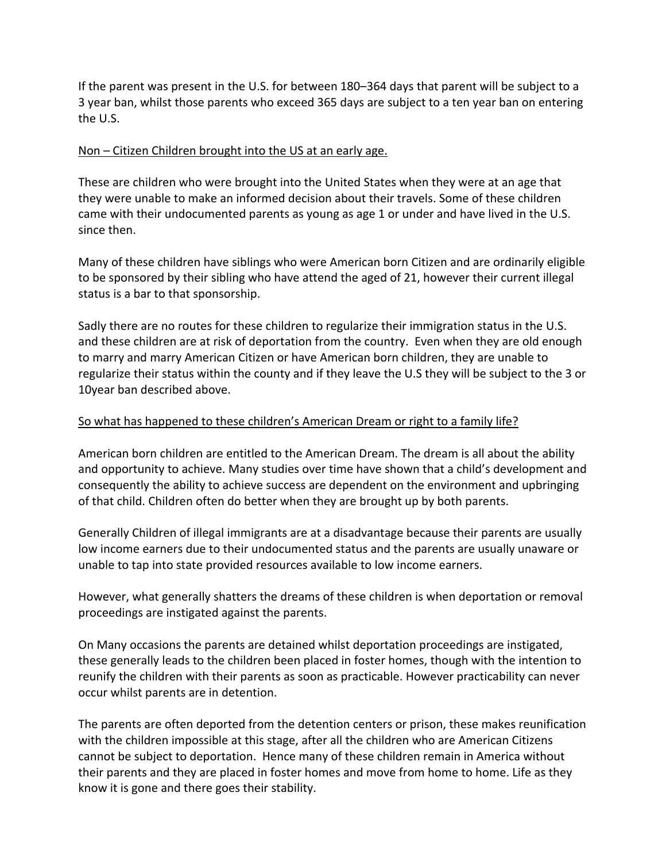If the parent was present in the U.S. for between 180–364 days that parent will be subject to a 3 year ban, whilst those parents who exceed 365 days are subject to a ten year ban on entering the U.S.

#### Non – Citizen Children brought into the US at an early age.

These are children who were brought into the United States when they were at an age that they were unable to make an informed decision about their travels. Some of these children came with their undocumented parents as young as age 1 or under and have lived in the U.S. since then.

Many of these children have siblings who were American born Citizen and are ordinarily eligible to be sponsored by their sibling who have attend the aged of 21, however their current illegal status is a bar to that sponsorship.

Sadly there are no routes for these children to regularize their immigration status in the U.S. and these children are at risk of deportation from the country. Even when they are old enough to marry and marry American Citizen or have American born children, they are unable to regularize their status within the county and if they leave the U.S they will be subject to the 3 or 10year ban described above.

## So what has happened to these children's American Dream or right to a family life?

American born children are entitled to the American Dream. The dream is all about the ability and opportunity to achieve. Many studies over time have shown that a child's development and consequently the ability to achieve success are dependent on the environment and upbringing of that child. Children often do better when they are brought up by both parents.

Generally Children of illegal immigrants are at a disadvantage because their parents are usually low income earners due to their undocumented status and the parents are usually unaware or unable to tap into state provided resources available to low income earners.

However, what generally shatters the dreams of these children is when deportation or removal proceedings are instigated against the parents.

On Many occasions the parents are detained whilst deportation proceedings are instigated, these generally leads to the children been placed in foster homes, though with the intention to reunify the children with their parents as soon as practicable. However practicability can never occur whilst parents are in detention.

The parents are often deported from the detention centers or prison, these makes reunification with the children impossible at this stage, after all the children who are American Citizens cannot be subject to deportation. Hence many of these children remain in America without their parents and they are placed in foster homes and move from home to home. Life as they know it is gone and there goes their stability.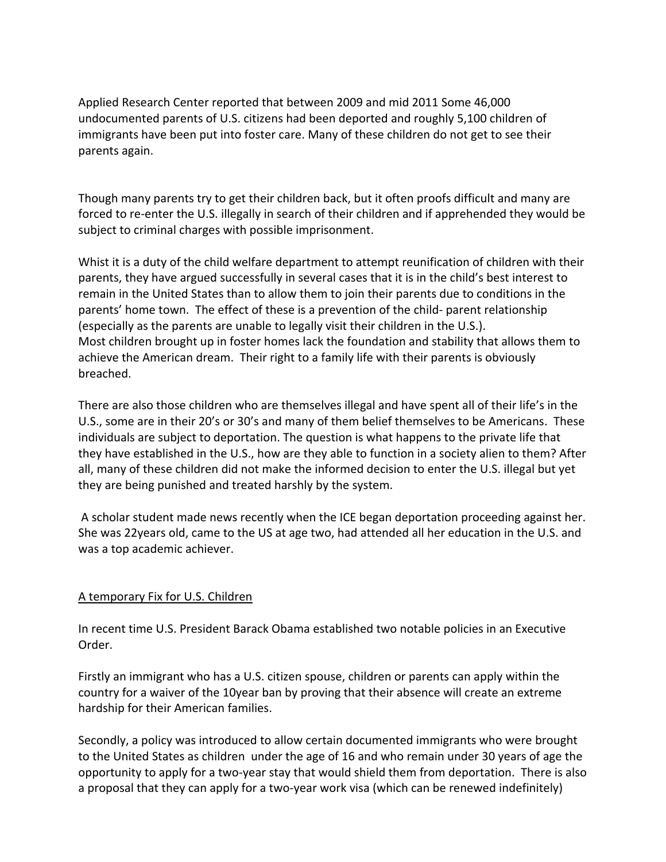Applied Research Center reported that between 2009 and mid 2011 Some 46,000 undocumented parents of U.S. citizens had been deported and roughly 5,100 children of immigrants have been put into foster care. Many of these children do not get to see their parents again.

Though many parents try to get their children back, but it often proofs difficult and many are forced to re-enter the U.S. illegally in search of their children and if apprehended they would be subject to criminal charges with possible imprisonment.

Whist it is a duty of the child welfare department to attempt reunification of children with their parents, they have argued successfully in several cases that it is in the child's best interest to remain in the United States than to allow them to join their parents due to conditions in the parents' home town. The effect of these is a prevention of the child- parent relationship (especially as the parents are unable to legally visit their children in the U.S.). Most children brought up in foster homes lack the foundation and stability that allows them to achieve the American dream. Their right to a family life with their parents is obviously breached.

There are also those children who are themselves illegal and have spent all of their life's in the U.S., some are in their 20's or 30's and many of them belief themselves to be Americans. These individuals are subject to deportation. The question is what happens to the private life that they have established in the U.S., how are they able to function in a society alien to them? After all, many of these children did not make the informed decision to enter the U.S. illegal but yet they are being punished and treated harshly by the system.

A scholar student made news recently when the ICE began deportation proceeding against her. She was 22years old, came to the US at age two, had attended all her education in the U.S. and was a top academic achiever.

## A temporary Fix for U.S. Children

In recent time U.S. President Barack Obama established two notable policies in an Executive Order.

Firstly an immigrant who has a U.S. citizen spouse, children or parents can apply within the country for a waiver of the 10year ban by proving that their absence will create an extreme hardship for their American families.

Secondly, a policy was introduced to allow certain documented immigrants who were brought to the United States as children under the age of 16 and who remain under 30 years of age the opportunity to apply for a two-year stay that would shield them from deportation. There is also a proposal that they can apply for a two-year work visa (which can be renewed indefinitely)